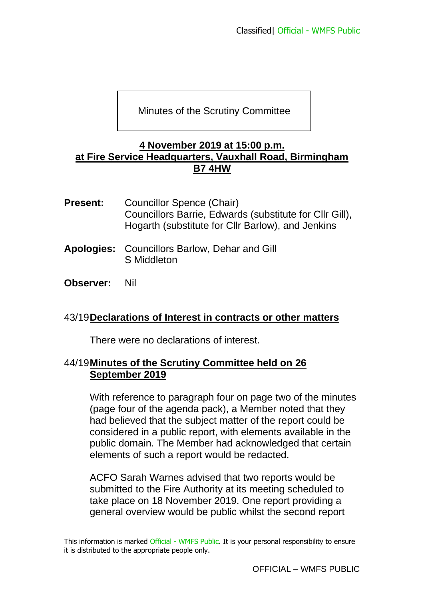Minutes of the Scrutiny Committee

#### **4 November 2019 at 15:00 p.m. at Fire Service Headquarters, Vauxhall Road, Birmingham B7 4HW**

- **Present:** Councillor Spence (Chair) Councillors Barrie, Edwards (substitute for Cllr Gill), Hogarth (substitute for Cllr Barlow), and Jenkins
- **Apologies:** Councillors Barlow, Dehar and Gill S Middleton
- **Observer:** Nil

## 43/19**Declarations of Interest in contracts or other matters**

There were no declarations of interest.

# 44/19**Minutes of the Scrutiny Committee held on 26 September 2019**

With reference to paragraph four on page two of the minutes (page four of the agenda pack), a Member noted that they had believed that the subject matter of the report could be considered in a public report, with elements available in the public domain. The Member had acknowledged that certain elements of such a report would be redacted.

ACFO Sarah Warnes advised that two reports would be submitted to the Fire Authority at its meeting scheduled to take place on 18 November 2019. One report providing a general overview would be public whilst the second report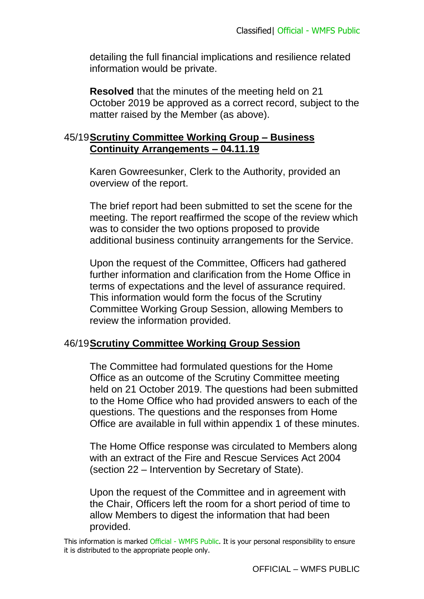detailing the full financial implications and resilience related information would be private.

**Resolved** that the minutes of the meeting held on 21 October 2019 be approved as a correct record, subject to the matter raised by the Member (as above).

## 45/19**Scrutiny Committee Working Group – Business Continuity Arrangements – 04.11.19**

Karen Gowreesunker, Clerk to the Authority, provided an overview of the report.

The brief report had been submitted to set the scene for the meeting. The report reaffirmed the scope of the review which was to consider the two options proposed to provide additional business continuity arrangements for the Service.

Upon the request of the Committee, Officers had gathered further information and clarification from the Home Office in terms of expectations and the level of assurance required. This information would form the focus of the Scrutiny Committee Working Group Session, allowing Members to review the information provided.

## 46/19**Scrutiny Committee Working Group Session**

The Committee had formulated questions for the Home Office as an outcome of the Scrutiny Committee meeting held on 21 October 2019. The questions had been submitted to the Home Office who had provided answers to each of the questions. The questions and the responses from Home Office are available in full within appendix 1 of these minutes.

The Home Office response was circulated to Members along with an extract of the Fire and Rescue Services Act 2004 (section 22 – Intervention by Secretary of State).

Upon the request of the Committee and in agreement with the Chair, Officers left the room for a short period of time to allow Members to digest the information that had been provided.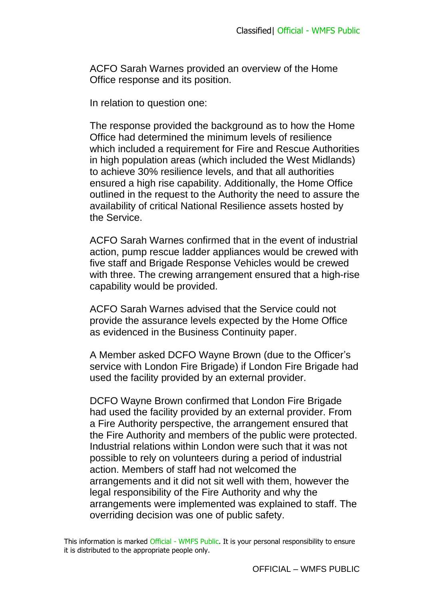ACFO Sarah Warnes provided an overview of the Home Office response and its position.

In relation to question one:

The response provided the background as to how the Home Office had determined the minimum levels of resilience which included a requirement for Fire and Rescue Authorities in high population areas (which included the West Midlands) to achieve 30% resilience levels, and that all authorities ensured a high rise capability. Additionally, the Home Office outlined in the request to the Authority the need to assure the availability of critical National Resilience assets hosted by the Service.

ACFO Sarah Warnes confirmed that in the event of industrial action, pump rescue ladder appliances would be crewed with five staff and Brigade Response Vehicles would be crewed with three. The crewing arrangement ensured that a high-rise capability would be provided.

ACFO Sarah Warnes advised that the Service could not provide the assurance levels expected by the Home Office as evidenced in the Business Continuity paper.

A Member asked DCFO Wayne Brown (due to the Officer's service with London Fire Brigade) if London Fire Brigade had used the facility provided by an external provider.

DCFO Wayne Brown confirmed that London Fire Brigade had used the facility provided by an external provider. From a Fire Authority perspective, the arrangement ensured that the Fire Authority and members of the public were protected. Industrial relations within London were such that it was not possible to rely on volunteers during a period of industrial action. Members of staff had not welcomed the arrangements and it did not sit well with them, however the legal responsibility of the Fire Authority and why the arrangements were implemented was explained to staff. The overriding decision was one of public safety.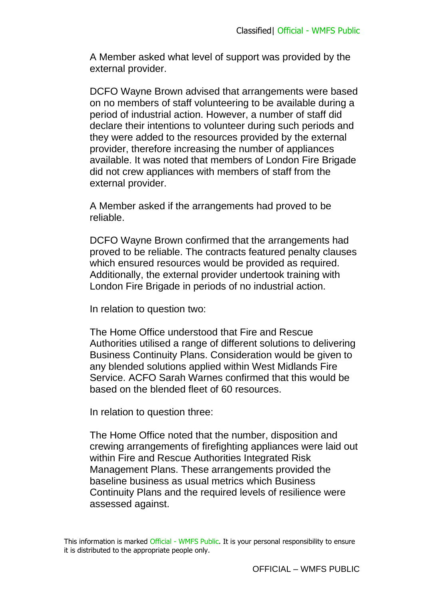A Member asked what level of support was provided by the external provider.

DCFO Wayne Brown advised that arrangements were based on no members of staff volunteering to be available during a period of industrial action. However, a number of staff did declare their intentions to volunteer during such periods and they were added to the resources provided by the external provider, therefore increasing the number of appliances available. It was noted that members of London Fire Brigade did not crew appliances with members of staff from the external provider.

A Member asked if the arrangements had proved to be reliable.

DCFO Wayne Brown confirmed that the arrangements had proved to be reliable. The contracts featured penalty clauses which ensured resources would be provided as required. Additionally, the external provider undertook training with London Fire Brigade in periods of no industrial action.

In relation to question two:

The Home Office understood that Fire and Rescue Authorities utilised a range of different solutions to delivering Business Continuity Plans. Consideration would be given to any blended solutions applied within West Midlands Fire Service. ACFO Sarah Warnes confirmed that this would be based on the blended fleet of 60 resources.

In relation to question three:

The Home Office noted that the number, disposition and crewing arrangements of firefighting appliances were laid out within Fire and Rescue Authorities Integrated Risk Management Plans. These arrangements provided the baseline business as usual metrics which Business Continuity Plans and the required levels of resilience were assessed against.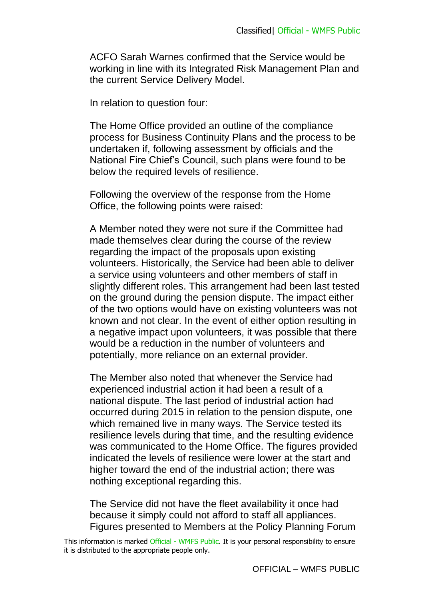ACFO Sarah Warnes confirmed that the Service would be working in line with its Integrated Risk Management Plan and the current Service Delivery Model.

In relation to question four:

The Home Office provided an outline of the compliance process for Business Continuity Plans and the process to be undertaken if, following assessment by officials and the National Fire Chief's Council, such plans were found to be below the required levels of resilience.

Following the overview of the response from the Home Office, the following points were raised:

A Member noted they were not sure if the Committee had made themselves clear during the course of the review regarding the impact of the proposals upon existing volunteers. Historically, the Service had been able to deliver a service using volunteers and other members of staff in slightly different roles. This arrangement had been last tested on the ground during the pension dispute. The impact either of the two options would have on existing volunteers was not known and not clear. In the event of either option resulting in a negative impact upon volunteers, it was possible that there would be a reduction in the number of volunteers and potentially, more reliance on an external provider.

The Member also noted that whenever the Service had experienced industrial action it had been a result of a national dispute. The last period of industrial action had occurred during 2015 in relation to the pension dispute, one which remained live in many ways. The Service tested its resilience levels during that time, and the resulting evidence was communicated to the Home Office. The figures provided indicated the levels of resilience were lower at the start and higher toward the end of the industrial action; there was nothing exceptional regarding this.

The Service did not have the fleet availability it once had because it simply could not afford to staff all appliances. Figures presented to Members at the Policy Planning Forum

This information is marked Official - WMFS Public. It is your personal responsibility to ensure it is distributed to the appropriate people only.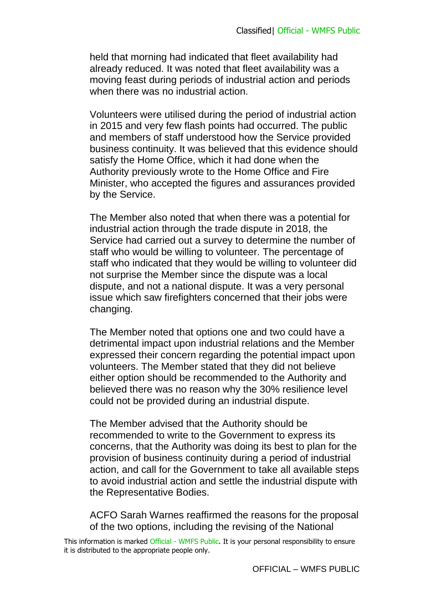held that morning had indicated that fleet availability had already reduced. It was noted that fleet availability was a moving feast during periods of industrial action and periods when there was no industrial action.

Volunteers were utilised during the period of industrial action in 2015 and very few flash points had occurred. The public and members of staff understood how the Service provided business continuity. It was believed that this evidence should satisfy the Home Office, which it had done when the Authority previously wrote to the Home Office and Fire Minister, who accepted the figures and assurances provided by the Service.

The Member also noted that when there was a potential for industrial action through the trade dispute in 2018, the Service had carried out a survey to determine the number of staff who would be willing to volunteer. The percentage of staff who indicated that they would be willing to volunteer did not surprise the Member since the dispute was a local dispute, and not a national dispute. It was a very personal issue which saw firefighters concerned that their jobs were changing.

The Member noted that options one and two could have a detrimental impact upon industrial relations and the Member expressed their concern regarding the potential impact upon volunteers. The Member stated that they did not believe either option should be recommended to the Authority and believed there was no reason why the 30% resilience level could not be provided during an industrial dispute.

The Member advised that the Authority should be recommended to write to the Government to express its concerns, that the Authority was doing its best to plan for the provision of business continuity during a period of industrial action, and call for the Government to take all available steps to avoid industrial action and settle the industrial dispute with the Representative Bodies.

ACFO Sarah Warnes reaffirmed the reasons for the proposal of the two options, including the revising of the National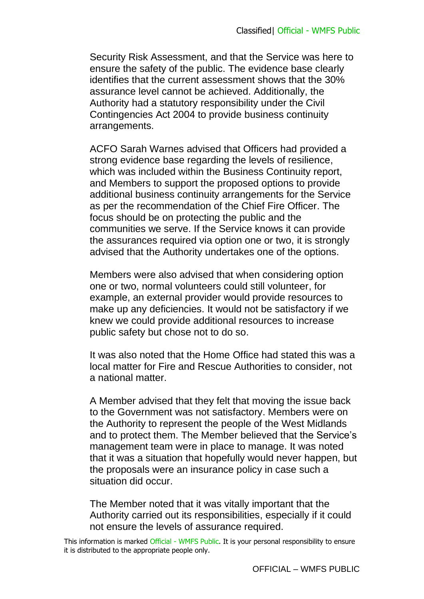Security Risk Assessment, and that the Service was here to ensure the safety of the public. The evidence base clearly identifies that the current assessment shows that the 30% assurance level cannot be achieved. Additionally, the Authority had a statutory responsibility under the Civil Contingencies Act 2004 to provide business continuity arrangements.

ACFO Sarah Warnes advised that Officers had provided a strong evidence base regarding the levels of resilience, which was included within the Business Continuity report, and Members to support the proposed options to provide additional business continuity arrangements for the Service as per the recommendation of the Chief Fire Officer. The focus should be on protecting the public and the communities we serve. If the Service knows it can provide the assurances required via option one or two, it is strongly advised that the Authority undertakes one of the options.

Members were also advised that when considering option one or two, normal volunteers could still volunteer, for example, an external provider would provide resources to make up any deficiencies. It would not be satisfactory if we knew we could provide additional resources to increase public safety but chose not to do so.

It was also noted that the Home Office had stated this was a local matter for Fire and Rescue Authorities to consider, not a national matter.

A Member advised that they felt that moving the issue back to the Government was not satisfactory. Members were on the Authority to represent the people of the West Midlands and to protect them. The Member believed that the Service's management team were in place to manage. It was noted that it was a situation that hopefully would never happen, but the proposals were an insurance policy in case such a situation did occur.

The Member noted that it was vitally important that the Authority carried out its responsibilities, especially if it could not ensure the levels of assurance required.

This information is marked Official - WMFS Public. It is your personal responsibility to ensure it is distributed to the appropriate people only.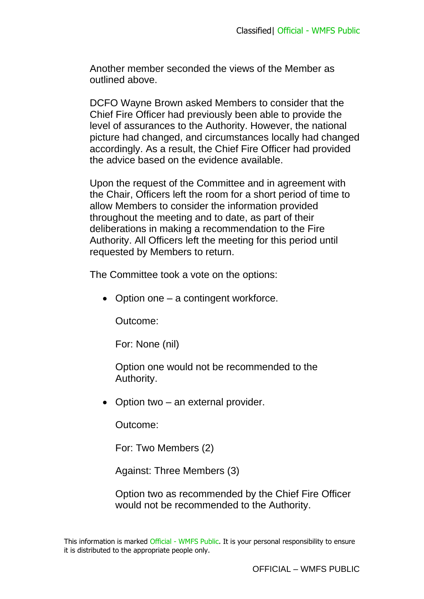Another member seconded the views of the Member as outlined above.

DCFO Wayne Brown asked Members to consider that the Chief Fire Officer had previously been able to provide the level of assurances to the Authority. However, the national picture had changed, and circumstances locally had changed accordingly. As a result, the Chief Fire Officer had provided the advice based on the evidence available.

Upon the request of the Committee and in agreement with the Chair, Officers left the room for a short period of time to allow Members to consider the information provided throughout the meeting and to date, as part of their deliberations in making a recommendation to the Fire Authority. All Officers left the meeting for this period until requested by Members to return.

The Committee took a vote on the options:

• Option one – a contingent workforce.

Outcome:

For: None (nil)

Option one would not be recommended to the Authority.

• Option two – an external provider.

Outcome:

For: Two Members (2)

Against: Three Members (3)

Option two as recommended by the Chief Fire Officer would not be recommended to the Authority.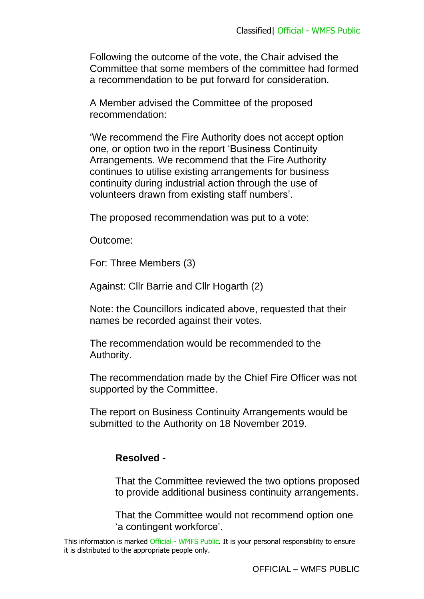Following the outcome of the vote, the Chair advised the Committee that some members of the committee had formed a recommendation to be put forward for consideration.

A Member advised the Committee of the proposed recommendation:

'We recommend the Fire Authority does not accept option one, or option two in the report 'Business Continuity Arrangements. We recommend that the Fire Authority continues to utilise existing arrangements for business continuity during industrial action through the use of volunteers drawn from existing staff numbers'.

The proposed recommendation was put to a vote:

Outcome:

For: Three Members (3)

Against: Cllr Barrie and Cllr Hogarth (2)

Note: the Councillors indicated above, requested that their names be recorded against their votes.

The recommendation would be recommended to the Authority.

The recommendation made by the Chief Fire Officer was not supported by the Committee.

The report on Business Continuity Arrangements would be submitted to the Authority on 18 November 2019.

#### **Resolved -**

That the Committee reviewed the two options proposed to provide additional business continuity arrangements.

That the Committee would not recommend option one 'a contingent workforce'.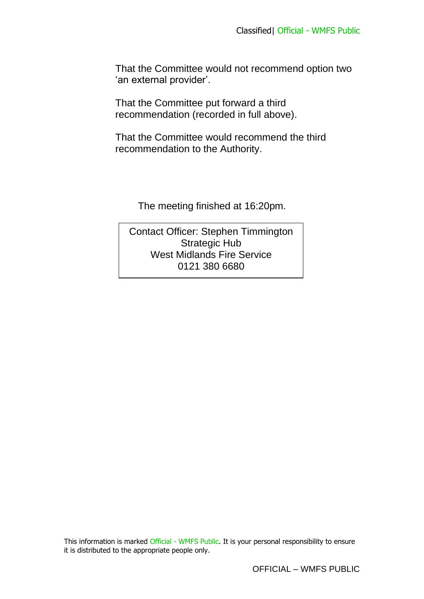That the Committee would not recommend option two 'an external provider'.

That the Committee put forward a third recommendation (recorded in full above).

That the Committee would recommend the third recommendation to the Authority.

The meeting finished at 16:20pm.

Contact Officer: Stephen Timmington Strategic Hub West Midlands Fire Service 0121 380 6680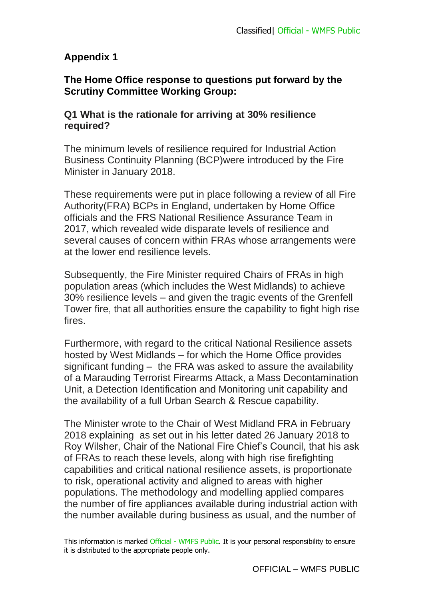# **Appendix 1**

## **The Home Office response to questions put forward by the Scrutiny Committee Working Group:**

## **Q1 What is the rationale for arriving at 30% resilience required?**

The minimum levels of resilience required for Industrial Action Business Continuity Planning (BCP)were introduced by the Fire Minister in January 2018.

These requirements were put in place following a review of all Fire Authority(FRA) BCPs in England, undertaken by Home Office officials and the FRS National Resilience Assurance Team in 2017, which revealed wide disparate levels of resilience and several causes of concern within FRAs whose arrangements were at the lower end resilience levels.

Subsequently, the Fire Minister required Chairs of FRAs in high population areas (which includes the West Midlands) to achieve 30% resilience levels – and given the tragic events of the Grenfell Tower fire, that all authorities ensure the capability to fight high rise fires.

Furthermore, with regard to the critical National Resilience assets hosted by West Midlands – for which the Home Office provides significant funding – the FRA was asked to assure the availability of a Marauding Terrorist Firearms Attack, a Mass Decontamination Unit, a Detection Identification and Monitoring unit capability and the availability of a full Urban Search & Rescue capability.

The Minister wrote to the Chair of West Midland FRA in February 2018 explaining as set out in his letter dated 26 January 2018 to Roy Wilsher, Chair of the National Fire Chief's Council, that his ask of FRAs to reach these levels, along with high rise firefighting capabilities and critical national resilience assets, is proportionate to risk, operational activity and aligned to areas with higher populations. The methodology and modelling applied compares the number of fire appliances available during industrial action with the number available during business as usual, and the number of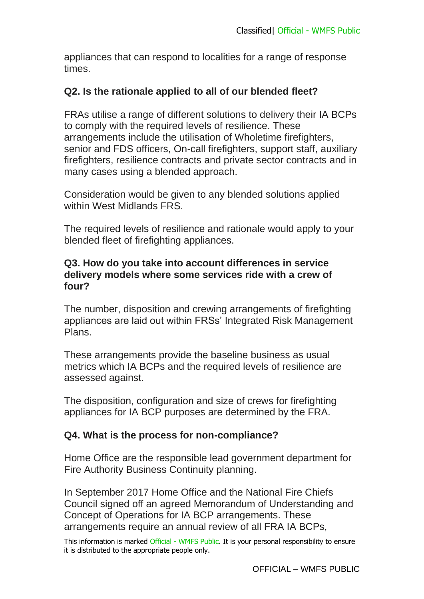appliances that can respond to localities for a range of response times.

## **Q2. Is the rationale applied to all of our blended fleet?**

FRAs utilise a range of different solutions to delivery their IA BCPs to comply with the required levels of resilience. These arrangements include the utilisation of Wholetime firefighters, senior and FDS officers, On-call firefighters, support staff, auxiliary firefighters, resilience contracts and private sector contracts and in many cases using a blended approach.

Consideration would be given to any blended solutions applied within West Midlands FRS.

The required levels of resilience and rationale would apply to your blended fleet of firefighting appliances.

### **Q3. How do you take into account differences in service delivery models where some services ride with a crew of four?**

The number, disposition and crewing arrangements of firefighting appliances are laid out within FRSs' Integrated Risk Management Plans.

These arrangements provide the baseline business as usual metrics which IA BCPs and the required levels of resilience are assessed against.

The disposition, configuration and size of crews for firefighting appliances for IA BCP purposes are determined by the FRA.

## **Q4. What is the process for non-compliance?**

Home Office are the responsible lead government department for Fire Authority Business Continuity planning.

In September 2017 Home Office and the National Fire Chiefs Council signed off an agreed Memorandum of Understanding and Concept of Operations for IA BCP arrangements. These arrangements require an annual review of all FRA IA BCPs,